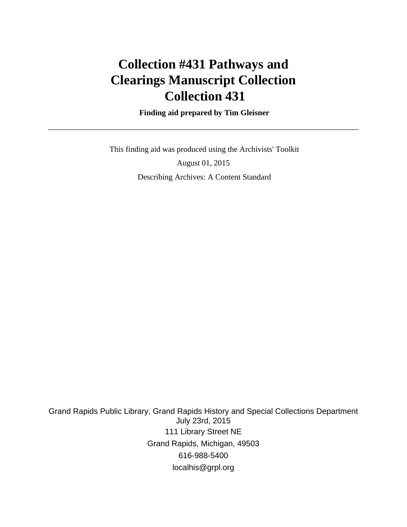# **Collection #431 Pathways and Clearings Manuscript Collection Collection 431**

 **Finding aid prepared by Tim Gleisner**

 This finding aid was produced using the Archivists' Toolkit August 01, 2015 Describing Archives: A Content Standard

Grand Rapids Public Library, Grand Rapids History and Special Collections Department July 23rd, 2015 111 Library Street NE Grand Rapids, Michigan, 49503 616-988-5400 localhis@grpl.org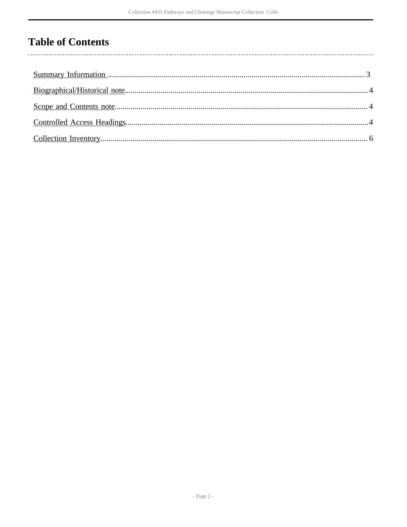### **Table of Contents**

l,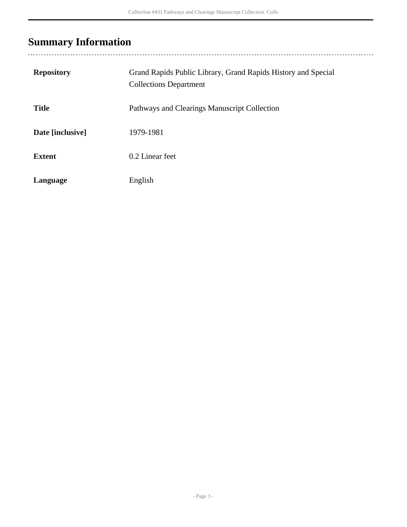## <span id="page-2-0"></span>**Summary Information**

| <b>Repository</b> | Grand Rapids Public Library, Grand Rapids History and Special<br><b>Collections Department</b> |
|-------------------|------------------------------------------------------------------------------------------------|
| <b>Title</b>      | Pathways and Clearings Manuscript Collection                                                   |
| Date [inclusive]  | 1979-1981                                                                                      |
| <b>Extent</b>     | 0.2 Linear feet                                                                                |
| Language          | English                                                                                        |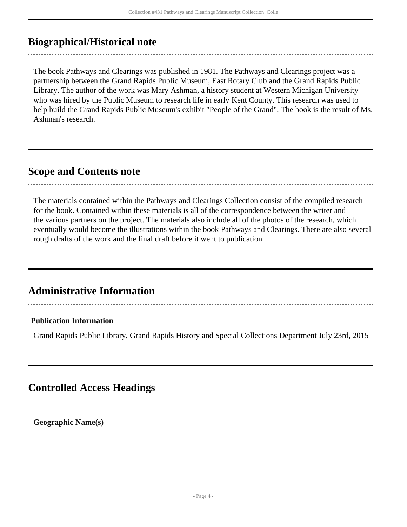### <span id="page-3-0"></span>**Biographical/Historical note**

The book Pathways and Clearings was published in 1981. The Pathways and Clearings project was a partnership between the Grand Rapids Public Museum, East Rotary Club and the Grand Rapids Public Library. The author of the work was Mary Ashman, a history student at Western Michigan University who was hired by the Public Museum to research life in early Kent County. This research was used to help build the Grand Rapids Public Museum's exhibit "People of the Grand". The book is the result of Ms. Ashman's research.

#### <span id="page-3-1"></span>**Scope and Contents note**

The materials contained within the Pathways and Clearings Collection consist of the compiled research for the book. Contained within these materials is all of the correspondence between the writer and the various partners on the project. The materials also include all of the photos of the research, which eventually would become the illustrations within the book Pathways and Clearings. There are also several rough drafts of the work and the final draft before it went to publication.

### **Administrative Information**

#### **Publication Information**

Grand Rapids Public Library, Grand Rapids History and Special Collections Department July 23rd, 2015

### <span id="page-3-2"></span>**Controlled Access Headings**

**Geographic Name(s)**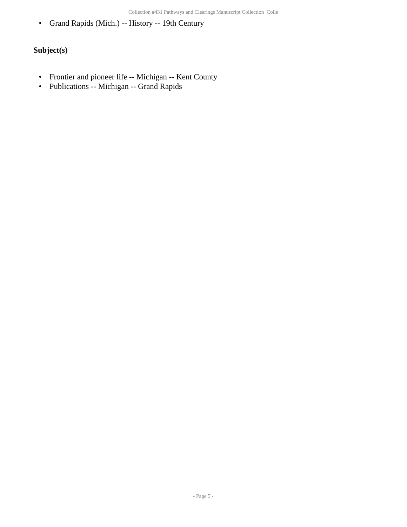• Grand Rapids (Mich.) -- History -- 19th Century

#### **Subject(s)**

- Frontier and pioneer life -- Michigan -- Kent County
- Publications -- Michigan -- Grand Rapids